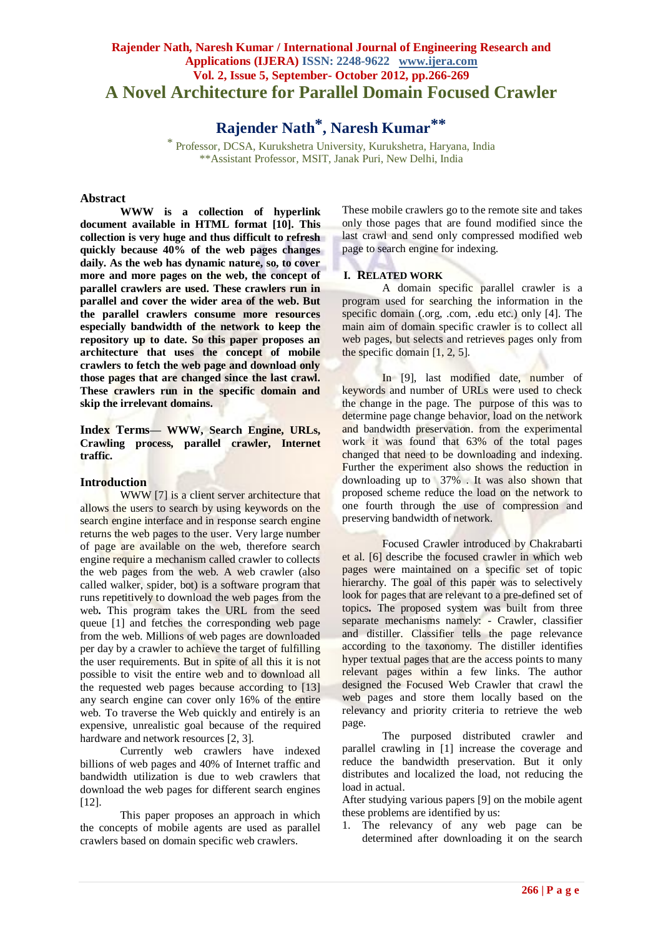# **Rajender Nath, Naresh Kumar / International Journal of Engineering Research and Applications (IJERA) ISSN: 2248-9622 www.ijera.com Vol. 2, Issue 5, September- October 2012, pp.266-269 A Novel Architecture for Parallel Domain Focused Crawler**

**Rajender Nath\* , Naresh Kumar\*\***

\* Professor, DCSA, Kurukshetra University, Kurukshetra, Haryana, India \*\*Assistant Professor, MSIT, Janak Puri, New Delhi, India

### **Abstract**

**WWW is a collection of hyperlink document available in HTML format [10]. This collection is very huge and thus difficult to refresh quickly because 40% of the web pages changes daily. As the web has dynamic nature, so, to cover more and more pages on the web, the concept of parallel crawlers are used. These crawlers run in parallel and cover the wider area of the web. But the parallel crawlers consume more resources especially bandwidth of the network to keep the repository up to date. So this paper proposes an architecture that uses the concept of mobile crawlers to fetch the web page and download only those pages that are changed since the last crawl. These crawlers run in the specific domain and skip the irrelevant domains.**

**Index Terms— WWW, Search Engine, URLs, Crawling process, parallel crawler, Internet traffic.**

### **Introduction**

WWW [7] is a client server architecture that allows the users to search by using keywords on the search engine interface and in response search engine returns the web pages to the user. Very large number of page are available on the web, therefore search engine require a mechanism called crawler to collects the web pages from the web. A web crawler (also called walker, spider, bot) is a software program that runs repetitively to download the web pages from the web**.** This program takes the URL from the seed queue [1] and fetches the corresponding web page from the web. Millions of web pages are downloaded per day by a crawler to achieve the target of fulfilling the user requirements. But in spite of all this it is not possible to visit the entire web and to download all the requested web pages because according to [13] any search engine can cover only 16% of the entire web. To traverse the Web quickly and entirely is an expensive, unrealistic goal because of the required hardware and network resources [2, 3].

Currently web crawlers have indexed billions of web pages and 40% of Internet traffic and bandwidth utilization is due to web crawlers that download the web pages for different search engines [12].

This paper proposes an approach in which the concepts of mobile agents are used as parallel crawlers based on domain specific web crawlers.

These mobile crawlers go to the remote site and takes only those pages that are found modified since the last crawl and send only compressed modified web page to search engine for indexing.

### **I. RELATED WORK**

A domain specific parallel crawler is a program used for searching the information in the specific domain (.org, .com, .edu etc.) only [4]. The main aim of domain specific crawler is to collect all web pages, but selects and retrieves pages only from the specific domain  $[1, 2, 5]$ .

In [9], last modified date, number of keywords and number of URLs were used to check the change in the page. The purpose of this was to determine page change behavior, load on the network and bandwidth preservation. from the experimental work it was found that 63% of the total pages changed that need to be downloading and indexing. Further the experiment also shows the reduction in downloading up to 37% . It was also shown that proposed scheme reduce the load on the network to one fourth through the use of compression and preserving bandwidth of network.

Focused Crawler introduced by Chakrabarti et al. [6] describe the focused crawler in which web pages were maintained on a specific set of topic hierarchy. The goal of this paper was to selectively look for pages that are relevant to a pre-defined set of topics**.** The proposed system was built from three separate mechanisms namely: - Crawler, classifier and distiller. Classifier tells the page relevance according to the taxonomy. The distiller identifies hyper textual pages that are the access points to many relevant pages within a few links. The author designed the Focused Web Crawler that crawl the web pages and store them locally based on the relevancy and priority criteria to retrieve the web page.

The purposed distributed crawler and parallel crawling in [1] increase the coverage and reduce the bandwidth preservation. But it only distributes and localized the load, not reducing the load in actual.

After studying various papers [9] on the mobile agent these problems are identified by us:

1. The relevancy of any web page can be determined after downloading it on the search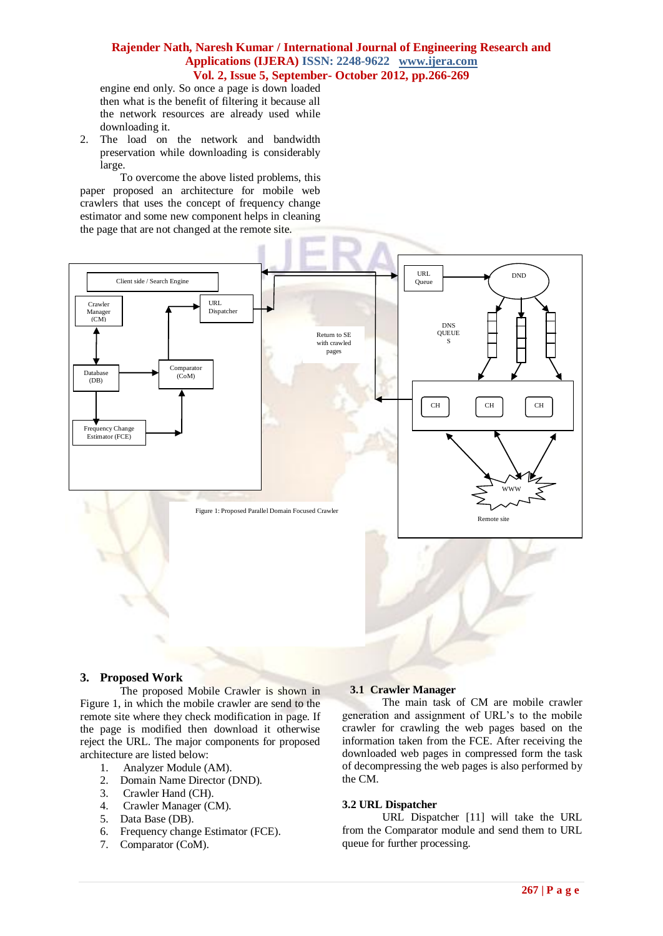### **Rajender Nath, Naresh Kumar / International Journal of Engineering Research and Applications (IJERA) ISSN: 2248-9622 www.ijera.com Vol. 2, Issue 5, September- October 2012, pp.266-269**

engine end only. So once a page is down loaded then what is the benefit of filtering it because all the network resources are already used while downloading it.

2. The load on the network and bandwidth preservation while downloading is considerably large.

To overcome the above listed problems, this paper proposed an architecture for mobile web crawlers that uses the concept of frequency change estimator and some new component helps in cleaning the page that are not changed at the remote site.



### **3. Proposed Work**

The proposed Mobile Crawler is shown in Figure 1, in which the mobile crawler are send to the remote site where they check modification in page. If the page is modified then download it otherwise reject the URL. The major components for proposed architecture are listed below:

- 1. Analyzer Module (AM).
- 2. Domain Name Director (DND).
- 3. Crawler Hand (CH).
- 4. Crawler Manager (CM).
- 5. Data Base (DB).
- 6. Frequency change Estimator (FCE).
- 7. Comparator (CoM).

### **3.1 Crawler Manager**

The main task of CM are mobile crawler generation and assignment of URL's to the mobile crawler for crawling the web pages based on the information taken from the FCE. After receiving the downloaded web pages in compressed form the task of decompressing the web pages is also performed by the CM.

## **3.2 URL Dispatcher**

URL Dispatcher [11] will take the URL from the Comparator module and send them to URL queue for further processing.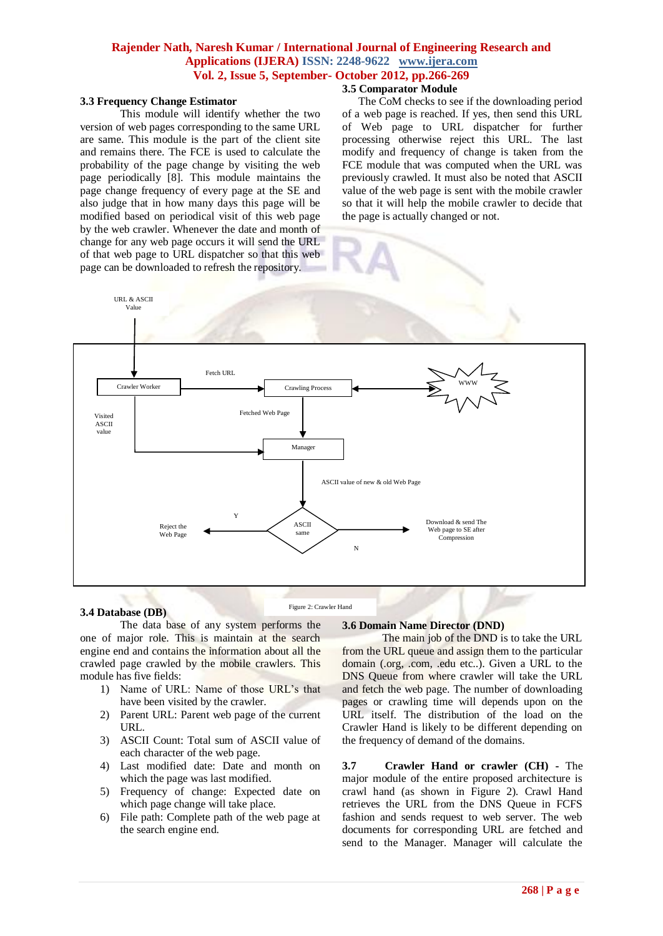## **Rajender Nath, Naresh Kumar / International Journal of Engineering Research and Applications (IJERA) ISSN: 2248-9622 www.ijera.com Vol. 2, Issue 5, September- October 2012, pp.266-269**

## **3.5 Comparator Module**

### **3.3 Frequency Change Estimator**

This module will identify whether the two version of web pages corresponding to the same URL are same. This module is the part of the client site and remains there. The FCE is used to calculate the probability of the page change by visiting the web page periodically [8]. This module maintains the page change frequency of every page at the SE and also judge that in how many days this page will be modified based on periodical visit of this web page by the web crawler. Whenever the date and month of change for any web page occurs it will send the URL of that web page to URL dispatcher so that this web page can be downloaded to refresh the repository.

The CoM checks to see if the downloading period of a web page is reached. If yes, then send this URL of Web page to URL dispatcher for further processing otherwise reject this URL. The last modify and frequency of change is taken from the FCE module that was computed when the URL was previously crawled. It must also be noted that ASCII value of the web page is sent with the mobile crawler so that it will help the mobile crawler to decide that the page is actually changed or not.



### **3.4 Database (DB)**

Figure 2: Crawler Hand

The data base of any system performs the one of major role. This is maintain at the search engine end and contains the information about all the crawled page crawled by the mobile crawlers. This module has five fields:

- 1) Name of URL: Name of those URL's that have been visited by the crawler.
- 2) Parent URL: Parent web page of the current URL.
- 3) ASCII Count: Total sum of ASCII value of each character of the web page.
- 4) Last modified date: Date and month on which the page was last modified.
- 5) Frequency of change: Expected date on which page change will take place.
- 6) File path: Complete path of the web page at the search engine end.

### **3.6 Domain Name Director (DND)**

The main job of the DND is to take the URL from the URL queue and assign them to the particular domain (.org, .com, .edu etc..). Given a URL to the DNS Queue from where crawler will take the URL and fetch the web page. The number of downloading pages or crawling time will depends upon on the URL itself. The distribution of the load on the Crawler Hand is likely to be different depending on the frequency of demand of the domains.

**3.7 Crawler Hand or crawler (CH) -** The major module of the entire proposed architecture is crawl hand (as shown in Figure 2). Crawl Hand retrieves the URL from the DNS Queue in FCFS fashion and sends request to web server. The web documents for corresponding URL are fetched and send to the Manager. Manager will calculate the